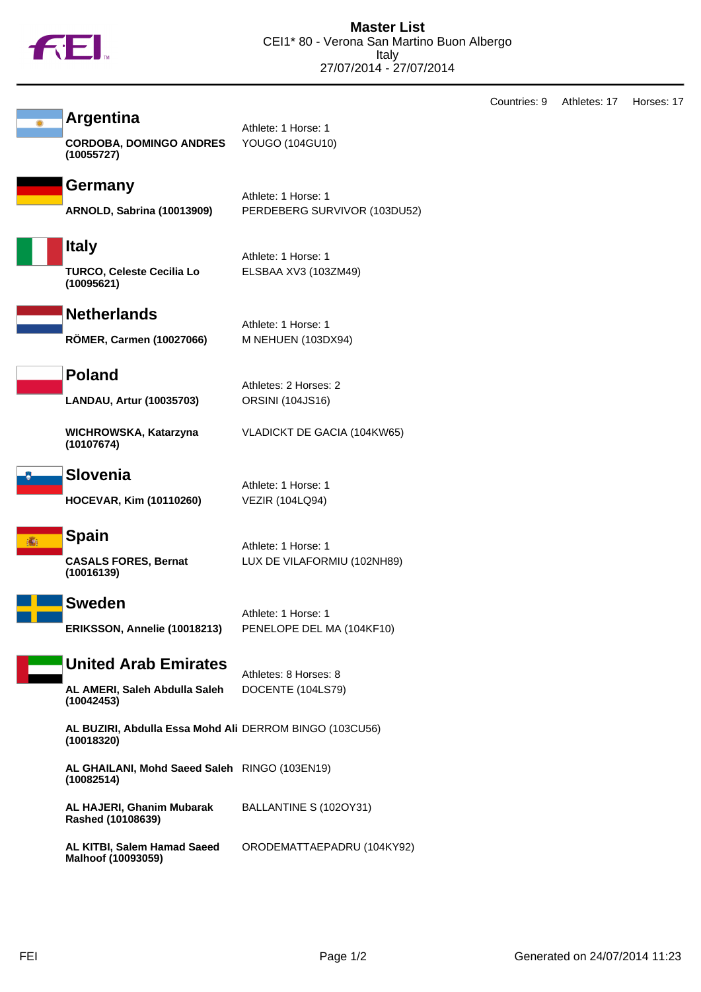

|                                                                            |                                                     | Countries: 9 | Athletes: 17 | Horses: 17 |
|----------------------------------------------------------------------------|-----------------------------------------------------|--------------|--------------|------------|
| <b>Argentina</b><br><b>CORDOBA, DOMINGO ANDRES</b><br>(10055727)           | Athlete: 1 Horse: 1<br>YOUGO (104GU10)              |              |              |            |
| <b>Germany</b><br><b>ARNOLD, Sabrina (10013909)</b>                        | Athlete: 1 Horse: 1<br>PERDEBERG SURVIVOR (103DU52) |              |              |            |
| <b>Italy</b><br><b>TURCO, Celeste Cecilia Lo</b><br>(10095621)             | Athlete: 1 Horse: 1<br>ELSBAA XV3 (103ZM49)         |              |              |            |
| <b>Netherlands</b><br><b>RÖMER, Carmen (10027066)</b>                      | Athlete: 1 Horse: 1<br>M NEHUEN (103DX94)           |              |              |            |
| <b>Poland</b><br>LANDAU, Artur (10035703)                                  | Athletes: 2 Horses: 2<br>ORSINI (104JS16)           |              |              |            |
| WICHROWSKA, Katarzyna<br>(10107674)                                        | VLADICKT DE GACIA (104KW65)                         |              |              |            |
| <b>Slovenia</b><br><b>HOCEVAR, Kim (10110260)</b>                          | Athlete: 1 Horse: 1<br><b>VEZIR (104LQ94)</b>       |              |              |            |
| <b>Spain</b><br><b>CASALS FORES, Bernat</b><br>(10016139)                  | Athlete: 1 Horse: 1<br>LUX DE VILAFORMIU (102NH89)  |              |              |            |
| <b>Sweden</b><br>ERIKSSON, Annelie (10018213)                              | Athlete: 1 Horse: 1<br>PENELOPE DEL MA (104KF10)    |              |              |            |
| <b>United Arab Emirates</b><br>AL AMERI, Saleh Abdulla Saleh<br>(10042453) | Athletes: 8 Horses: 8<br>DOCENTE (104LS79)          |              |              |            |
| AL BUZIRI, Abdulla Essa Mohd Ali DERROM BINGO (103CU56)<br>(10018320)      |                                                     |              |              |            |
| AL GHAILANI, Mohd Saeed Saleh RINGO (103EN19)<br>(10082514)                |                                                     |              |              |            |
| AL HAJERI, Ghanim Mubarak<br>Rashed (10108639)                             | BALLANTINE S (102OY31)                              |              |              |            |
| AL KITBI, Salem Hamad Saeed<br>Malhoof (10093059)                          | ORODEMATTAEPADRU (104KY92)                          |              |              |            |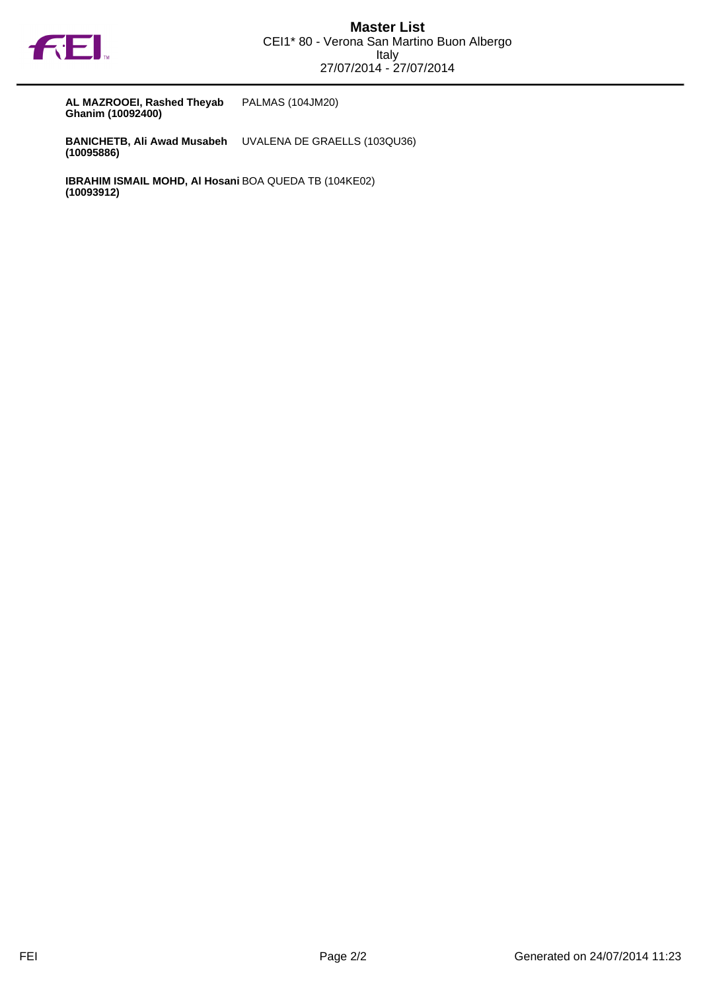

**AL MAZROOEI, Rashed Theyab Ghanim (10092400)** PALMAS (104JM20)

**BANICHETB, Ali Awad Musabeh (10095886)** UVALENA DE GRAELLS (103QU36)

**IBRAHIM ISMAIL MOHD, Al Hosani** BOA QUEDA TB (104KE02)**(10093912)**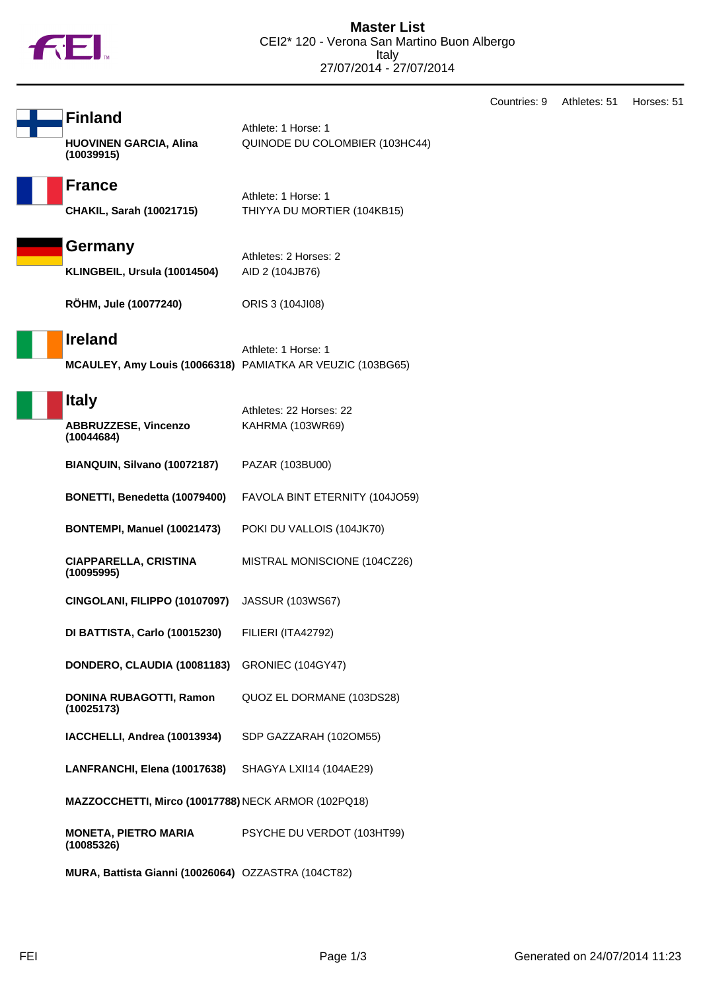

Countries: 9 Athletes: 51 Horses: 51

| <b>Finland</b>                              |  |
|---------------------------------------------|--|
| <b>HUOVINEN GARCIA, Alina</b><br>(10039915) |  |

Athlete: 1 Horse: 1 QUINODE DU COLOMBIER (103HC44)

## **France**

Athlete: 1 Horse: 1 **CHAKIL, Sarah (10021715)** THIYYA DU MORTIER (104KB15)



Athletes: 2 Horses: 2 **KLINGBEIL, Ursula (10014504)** AID 2 (104JB76)

**RÖHM, Jule (10077240)** ORIS 3 (104JI08)

## **Ireland**

Athlete: 1 Horse: 1 **MCAULEY, Amy Louis (10066318)** PAMIATKA AR VEUZIC (103BG65)

#### **Italy**

| нагу                                                | Athletes: 22 Horses: 22        |
|-----------------------------------------------------|--------------------------------|
| <b>ABBRUZZESE, Vincenzo</b><br>(10044684)           | KAHRMA (103WR69)               |
| BIANQUIN, Silvano (10072187)                        | PAZAR (103BU00)                |
| BONETTI, Benedetta (10079400)                       | FAVOLA BINT ETERNITY (104JO59) |
| BONTEMPI, Manuel (10021473)                         | POKI DU VALLOIS (104JK70)      |
| <b>CIAPPARELLA, CRISTINA</b><br>(10095995)          | MISTRAL MONISCIONE (104CZ26)   |
| CINGOLANI, FILIPPO (10107097)                       | <b>JASSUR (103WS67)</b>        |
| DI BATTISTA, Carlo (10015230)                       | FILIERI (ITA42792)             |
| DONDERO, CLAUDIA (10081183)                         | <b>GRONIEC (104GY47)</b>       |
| <b>DONINA RUBAGOTTI, Ramon</b><br>(10025173)        | QUOZ EL DORMANE (103DS28)      |
| IACCHELLI, Andrea (10013934)                        | SDP GAZZARAH (102OM55)         |
| LANFRANCHI, Elena (10017638)                        | SHAGYA LXII14 (104AE29)        |
| MAZZOCCHETTI, Mirco (10017788) NECK ARMOR (102PQ18) |                                |
| <b>MONETA, PIETRO MARIA</b><br>(10085326)           | PSYCHE DU VERDOT (103HT99)     |
| MURA, Battista Gianni (10026064) OZZASTRA (104CT82) |                                |

FEI Page 1/3 Generated on 24/07/2014 11:23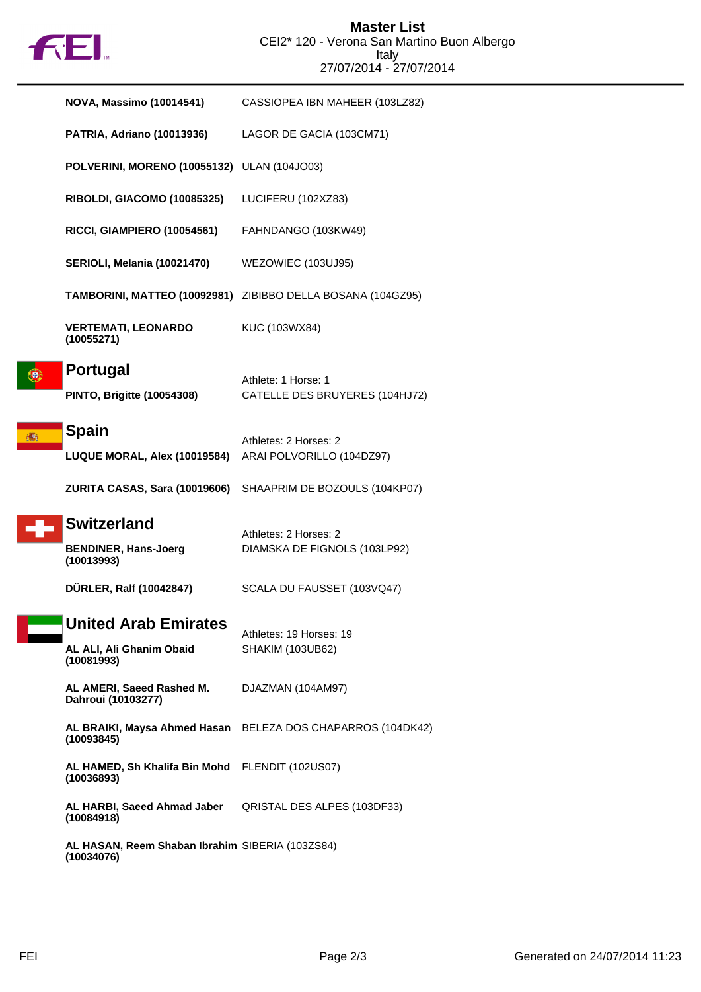

|   | <b>NOVA, Massimo (10014541)</b>                                       | CASSIOPEA IBN MAHEER (103LZ82)                              |
|---|-----------------------------------------------------------------------|-------------------------------------------------------------|
|   | <b>PATRIA, Adriano (10013936)</b>                                     | LAGOR DE GACIA (103CM71)                                    |
|   | POLVERINI, MORENO (10055132) ULAN (104JO03)                           |                                                             |
|   | RIBOLDI, GIACOMO (10085325)                                           | LUCIFERU (102XZ83)                                          |
|   | RICCI, GIAMPIERO (10054561)                                           | FAHNDANGO (103KW49)                                         |
|   | SERIOLI, Melania (10021470)                                           | WEZOWIEC (103UJ95)                                          |
|   |                                                                       | TAMBORINI, MATTEO (10092981) ZIBIBBO DELLA BOSANA (104GZ95) |
|   | <b>VERTEMATI, LEONARDO</b><br>(10055271)                              | KUC (103WX84)                                               |
|   | <b>Portugal</b><br><b>PINTO, Brigitte (10054308)</b>                  | Athlete: 1 Horse: 1<br>CATELLE DES BRUYERES (104HJ72)       |
| 痛 | <b>Spain</b><br>LUQUE MORAL, Alex (10019584)                          | Athletes: 2 Horses: 2<br>ARAI POLVORILLO (104DZ97)          |
|   | <b>ZURITA CASAS, Sara (10019606)</b>                                  | SHAAPRIM DE BOZOULS (104KP07)                               |
|   | <b>Switzerland</b><br><b>BENDINER, Hans-Joerg</b><br>(10013993)       | Athletes: 2 Horses: 2<br>DIAMSKA DE FIGNOLS (103LP92)       |
|   | DÜRLER, Ralf (10042847)                                               | SCALA DU FAUSSET (103VQ47)                                  |
|   | <b>United Arab Emirates</b><br>AL ALI, Ali Ghanim Obaid<br>(10081993) | Athletes: 19 Horses: 19<br><b>SHAKIM (103UB62)</b>          |
|   | AL AMERI, Saeed Rashed M.<br>Dahroui (10103277)                       | DJAZMAN (104AM97)                                           |
|   | AL BRAIKI, Maysa Ahmed Hasan<br>(10093845)                            | BELEZA DOS CHAPARROS (104DK42)                              |
|   | AL HAMED, Sh Khalifa Bin Mohd<br>(10036893)                           | <b>FLENDIT (102US07)</b>                                    |
|   | AL HARBI, Saeed Ahmad Jaber<br>(10084918)                             | QRISTAL DES ALPES (103DF33)                                 |
|   | AL HASAN, Reem Shaban Ibrahim SIBERIA (103ZS84)<br>(10034076)         |                                                             |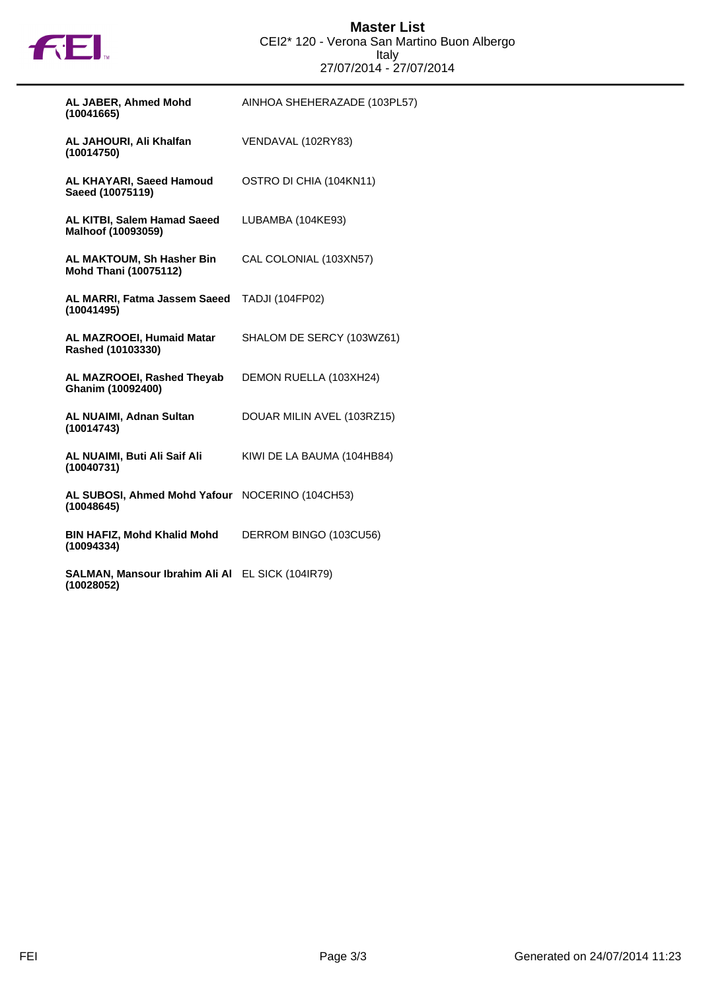

| AL JABER, Ahmed Mohd<br>(10041665)                             | AINHOA SHEHERAZADE (103PL57) |
|----------------------------------------------------------------|------------------------------|
| AL JAHOURI, Ali Khalfan<br>(10014750)                          | VENDAVAL (102RY83)           |
| AL KHAYARI, Saeed Hamoud<br>Saeed (10075119)                   | OSTRO DI CHIA (104KN11)      |
| AL KITBI, Salem Hamad Saeed<br>Malhoof (10093059)              | LUBAMBA (104KE93)            |
| AL MAKTOUM, Sh Hasher Bin<br><b>Mohd Thani (10075112)</b>      | CAL COLONIAL (103XN57)       |
| AL MARRI, Fatma Jassem Saeed<br>(10041495)                     | <b>TADJI (104FP02)</b>       |
| AL MAZROOEI, Humaid Matar<br>Rashed (10103330)                 | SHALOM DE SERCY (103WZ61)    |
| AL MAZROOEI, Rashed Theyab<br>Ghanim (10092400)                | DEMON RUELLA (103XH24)       |
| <b>AL NUAIMI, Adnan Sultan</b><br>(10014743)                   | DOUAR MILIN AVEL (103RZ15)   |
| AL NUAIMI, Buti Ali Saif Ali<br>(10040731)                     | KIWI DE LA BAUMA (104HB84)   |
| AL SUBOSI, Ahmed Mohd Yafour NOCERINO (104CH53)<br>(10048645)  |                              |
| <b>BIN HAFIZ, Mohd Khalid Mohd</b><br>(10094334)               | DERROM BINGO (103CU56)       |
| SALMAN, Mansour Ibrahim Ali Al EL SICK (104IR79)<br>(10028052) |                              |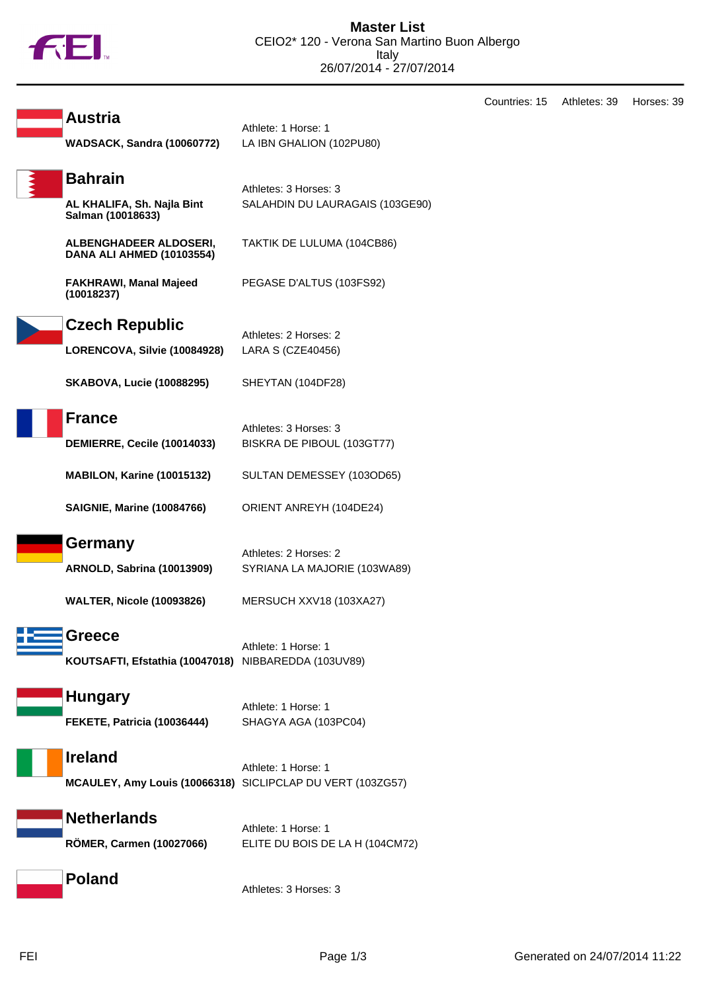

**Austria**

**Bahrain**

**WADSACK, Sandra (10060772)** LA IBN GHALION (102PU80) SALAHDIN DU LAURAGAIS (103GE90)

Countries: 15 Athletes: 39 Horses: 39

**AL KHALIFA, Sh. Najla Bint Salman (10018633) ALBENGHADEER ALDOSERI,**

**DANA ALI AHMED (10103554)**

TAKTIK DE LULUMA (104CB86)

PEGASE D'ALTUS (103FS92)

**FAKHRAWI, Manal Majeed (10018237)**



**Czech Republic**

Athletes: 2 Horses: 2 **LORENCOVA, Silvie (10084928)** LARA S (CZE40456)

Athlete: 1 Horse: 1

Athletes: 3 Horses: 3

**SKABOVA, Lucie (10088295)** SHEYTAN (104DF28)



Athletes: 3 Horses: 3 **DEMIERRE, Cecile (10014033)** BISKRA DE PIBOUL (103GT77)

**MABILON, Karine (10015132)** SULTAN DEMESSEY (103OD65)

**SAIGNIE, Marine (10084766)** ORIENT ANREYH (104DE24)

#### **Germany**

Athletes: 2 Horses: 2 **ARNOLD, Sabrina (10013909)** SYRIANA LA MAJORIE (103WA89)

**WALTER, Nicole (10093826)** MERSUCH XXV18 (103XA27)



Athlete: 1 Horse: 1 **KOUTSAFTI, Efstathia (10047018)** NIBBAREDDA (103UV89)

Athlete: 1 Horse: 1

# **Hungary**

**FEKETE, Patricia (10036444)** SHAGYA AGA (103PC04)

**Ireland**

Athlete: 1 Horse: 1 **MCAULEY, Amy Louis (10066318)** SICLIPCLAP DU VERT (103ZG57)

# **Netherlands**

Athlete: 1 Horse: 1 **RÖMER, Carmen (10027066)** ELITE DU BOIS DE LA H (104CM72)

**Poland**

Athletes: 3 Horses: 3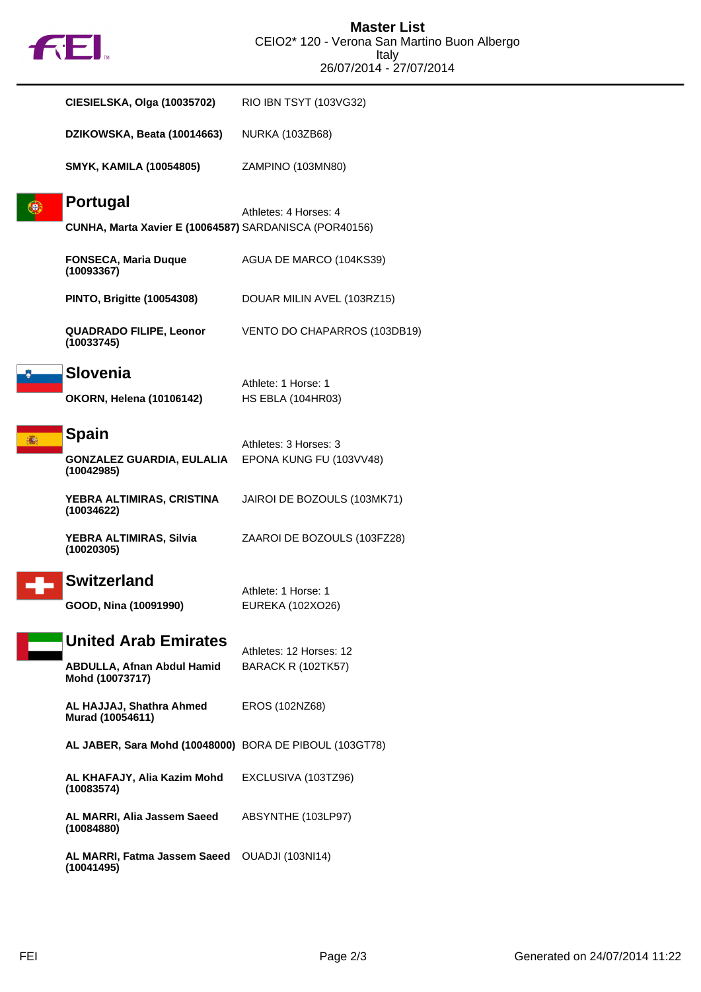# **FE**

| <b>CIESIELSKA, Olga (10035702)</b>                                     | RIO IBN TSYT (103VG32)       |
|------------------------------------------------------------------------|------------------------------|
| DZIKOWSKA, Beata (10014663)                                            | <b>NURKA (103ZB68)</b>       |
| <b>SMYK, KAMILA (10054805)</b>                                         | ZAMPINO (103MN80)            |
| <b>Portugal</b>                                                        | Athletes: 4 Horses: 4        |
| CUNHA, Marta Xavier E (10064587) SARDANISCA (POR40156)                 |                              |
| <b>FONSECA, Maria Duque</b><br>(10093367)                              | AGUA DE MARCO (104KS39)      |
| <b>PINTO, Brigitte (10054308)</b>                                      | DOUAR MILIN AVEL (103RZ15)   |
| <b>QUADRADO FILIPE, Leonor</b><br>(10033745)                           | VENTO DO CHAPARROS (103DB19) |
| <b>Slovenia</b>                                                        | Athlete: 1 Horse: 1          |
| <b>OKORN, Helena (10106142)</b>                                        | <b>HS EBLA (104HR03)</b>     |
| <b>Spain</b>                                                           | Athletes: 3 Horses: 3        |
| <b>GONZALEZ GUARDIA, EULALIA EPONA KUNG FU (103VV48)</b><br>(10042985) |                              |
| YEBRA ALTIMIRAS, CRISTINA<br>(10034622)                                | JAIROI DE BOZOULS (103MK71)  |
| YEBRA ALTIMIRAS, Silvia<br>(10020305)                                  | ZAAROI DE BOZOULS (103FZ28)  |
| <b>Switzerland</b>                                                     | Athlete: 1 Horse: 1          |
| GOOD, Nina (10091990)                                                  | EUREKA (102XO26)             |
| <b>United Arab Emirates</b>                                            | Athletes: 12 Horses: 12      |
| <b>ABDULLA, Afnan Abdul Hamid</b><br>Mohd (10073717)                   | <b>BARACK R (102TK57)</b>    |
| AL HAJJAJ, Shathra Ahmed<br>Murad (10054611)                           | EROS (102NZ68)               |
| AL JABER, Sara Mohd (10048000) BORA DE PIBOUL (103GT78)                |                              |
| AL KHAFAJY, Alia Kazim Mohd<br>(10083574)                              | EXCLUSIVA (103TZ96)          |
| AL MARRI, Alia Jassem Saeed<br>(10084880)                              | ABSYNTHE (103LP97)           |
| AL MARRI, Fatma Jassem Saeed<br>(10041495)                             | <b>OUADJI (103NI14)</b>      |